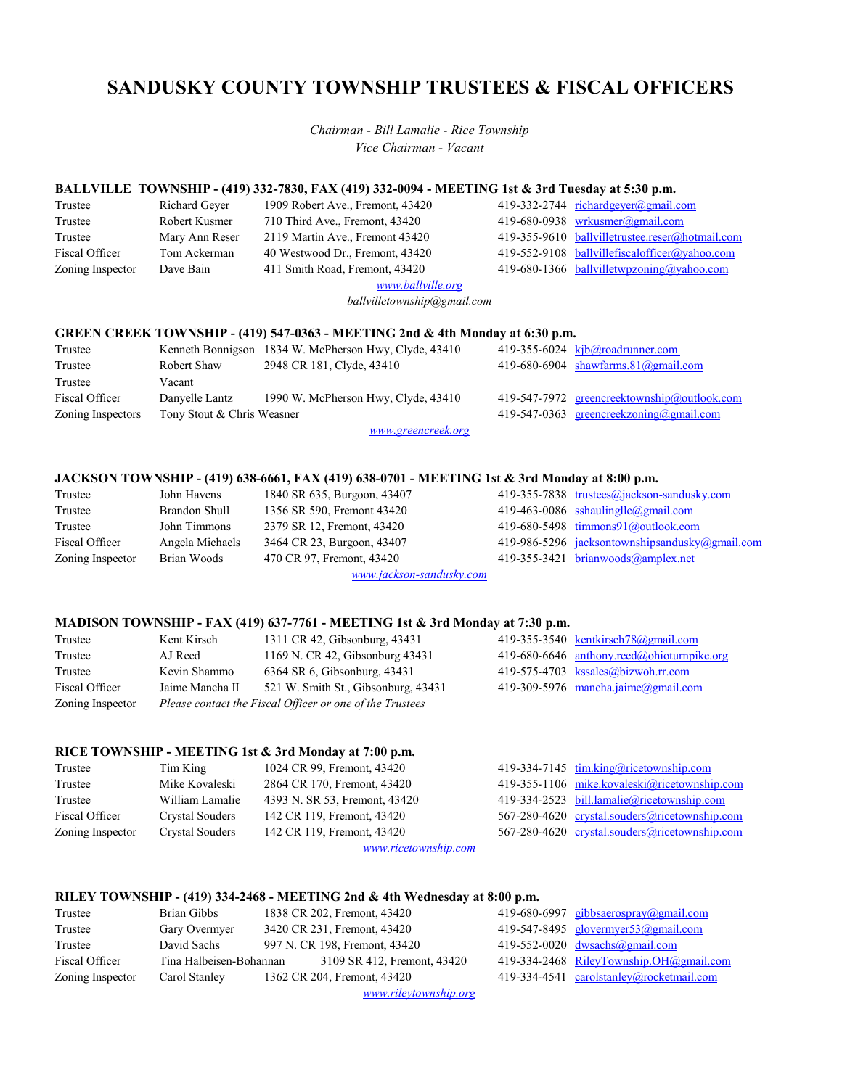# **SANDUSKY COUNTY TOWNSHIP TRUSTEES & FISCAL OFFICERS**

*Vice Chairman - Vacant Chairman - Bill Lamalie - Rice Township*

# **BALLVILLE TOWNSHIP - (419) 332-7830, FAX (419) 332-0094 - MEETING 1st & 3rd Tuesday at 5:30 p.m.**<br>Trustee Richard Geyer 1909 Robert Ave., Fremont, 43420 419-332-2744 <u>richardgeyer@gmail.com</u>

| Trustee          | Richard Ge  |
|------------------|-------------|
| Trustee          | Robert Kusi |
| Trustee          | Mary Ann F  |
| Fiscal Officer   | Tom Acker   |
| Zoning Inspector | Dave Bain   |

Dave Bain 411 Smith Road, Fremont, 43420 419-680-1366 [ballvilletwpzoning@yahoo.com](mailto:ballvilletwpzoning@yahoo.com) 710 Third Ave., Fremont, 43420 2119 Martin Ave., Fremont 43420 40 Westwood Dr., Fremont, 43420

Richard Geyer 1909 Robert Ave., Fremont, 43420 419-332-2744 [richardgeyer@gmail.com](mailto:richardgeyer@gmail.com) mer 710 Third Ave., Fremont, 43420 419-680-0938 [wrkusmer@gmail.com](mailto:wrkusmer@gmail.com)<br>Reser 2119 Martin Ave., Fremont 43420 419-355-9610 ballvilletrustee.reser@hotmail.com Mary Ann Reser 2119 Martin Ave., Fremont 43420 419-355-9610 [ballvilletrustee.reser@hotmail.com](mailto:ballvilletrustee.reser@hotmail.com) Tom Ackerman 40 Westwood Dr., Fremont, 43420 419-552-9108 [ballvillefiscalofficer@yahoo.com](mailto:ballvillefiscalofficer@yahoo.com)

*[www.ballville.org](https://www.ballville.org/)*

*ballvilletownship@gmail.com*

#### **GREEN CREEK TOWNSHIP - (419) 547-0363 - MEETING 2nd & 4th Monday at 6:30 p.m.**

| Trustee           |                            | Kenneth Bonnigson 1834 W. McPherson Hwy, Clyde, 43410 | 419-355-6024 $\mathbf{k}$ jb@roadrunner.com         |
|-------------------|----------------------------|-------------------------------------------------------|-----------------------------------------------------|
| Trustee           | Robert Shaw                | 2948 CR 181, Clyde, 43410                             | 419-680-6904 shawfarms. $81$ ( $\partial$ gmail.com |
| Trustee           | Vacant                     |                                                       |                                                     |
| Fiscal Officer    | Danyelle Lantz             | 1990 W. McPherson Hwy, Clyde, 43410                   | 419-547-7972 greencreektownship@outlook.com         |
| Zoning Inspectors | Tony Stout & Chris Weasner |                                                       | 419-547-0363 greencreekzoning@gmail.com             |
|                   |                            |                                                       |                                                     |

*[www.greencreek.org](https://sites.google.com/site/greencreektownship/)*

#### **JACKSON TOWNSHIP - (419) 638-6661, FAX (419) 638-0701 - MEETING 1st & 3rd Monday at 8:00 p.m.**

| Trustee          | John Havens     | 1840 SR 635, Burgoon, 43407 | 419-355-7838 trustees@jackson-sandusky.com            |
|------------------|-----------------|-----------------------------|-------------------------------------------------------|
| Trustee          | Brandon Shull   | 1356 SR 590, Fremont 43420  | 419-463-0086 sshaulingllc@gmail.com                   |
| Trustee          | John Timmons    | 2379 SR 12, Fremont, 43420  | 419-680-5498 $\frac{\text{timmons}}{91}$ @outlook.com |
| Fiscal Officer   | Angela Michaels | 3464 CR 23, Burgoon, 43407  | 419-986-5296 jacksontownshipsandusky@gmail.com        |
| Zoning Inspector | Brian Woods     | 470 CR 97, Fremont, 43420   | 419-355-3421 brianwoods@amplex.net                    |
|                  |                 |                             |                                                       |

*[www.jackson-sandusky.com](http://www.jackson-sandusky.com/)*

#### **MADISON TOWNSHIP - FAX (419) 637-7761 - MEETING 1st & 3rd Monday at 7:30 p.m.**

| Trustee          | Kent Kirsch     | 1311 CR 42, Gibsonburg, 43431                            | 419-355-3540 kentkirsch78@gmail.com        |
|------------------|-----------------|----------------------------------------------------------|--------------------------------------------|
| Trustee          | AJ Reed         | 1169 N. CR 42, Gibsonburg 43431                          | 419-680-6646 anthony.reed@ohioturnpike.org |
| Trustee          | Kevin Shammo    | 6364 SR 6, Gibsonburg, 43431                             | 419-575-4703 $ks sales@bizwoh.rr.com$      |
| Fiscal Officer   | Jaime Mancha II | 521 W. Smith St., Gibsonburg, 43431                      | 419-309-5976 mancha.jaime@gmail.com        |
| Zoning Inspector |                 | Please contact the Fiscal Officer or one of the Trustees |                                            |

#### **RICE TOWNSHIP - MEETING 1st & 3rd Monday at 7:00 p.m.**

| Trustee          | Tim King        | 1024 CR 99, Fremont, 43420    | 419-334-7145 tim.king@ricetownship.com        |
|------------------|-----------------|-------------------------------|-----------------------------------------------|
| Trustee          | Mike Kovaleski  | 2864 CR 170, Fremont, 43420   | 419-355-1106 mike.kovaleski@ricetownship.com  |
| Trustee          | William Lamalie | 4393 N. SR 53, Fremont, 43420 | 419-334-2523 bill.lamalie@ricetownship.com    |
| Fiscal Officer   | Crystal Souders | 142 CR 119, Fremont, 43420    | 567-280-4620 crystal.souders@ricetownship.com |
| Zoning Inspector | Crystal Souders | 142 CR 119, Fremont, 43420    | 567-280-4620 crystal.souders@ricetownship.com |
|                  |                 | www.ricetownship.com          |                                               |

#### **RILEY TOWNSHIP - (419) 334-2468 - MEETING 2nd & 4th Wednesday at 8:00 p.m.**

| Trustee          | Brian Gibbs             | 1838 CR 202, Fremont, 43420   |  | 419-680-6997 gibbsaerospray@gmail.com    |
|------------------|-------------------------|-------------------------------|--|------------------------------------------|
| Trustee          | Gary Overmyer           | 3420 CR 231, Fremont, 43420   |  | 419-547-8495 glovermyer53@gmail.com      |
| Trustee          | David Sachs             | 997 N. CR 198, Fremont, 43420 |  | 419-552-0020 dwsachs@gmail.com           |
| Fiscal Officer   | Tina Halbeisen-Bohannan | 3109 SR 412, Fremont, 43420   |  | 419-334-2468 RileyTownship.OH@gmail.com  |
| Zoning Inspector | Carol Stanley           | 1362 CR 204, Fremont, 43420   |  | 419-334-4541 carolstanley@rocketmail.com |
|                  |                         | www.rileytownship.org         |  |                                          |